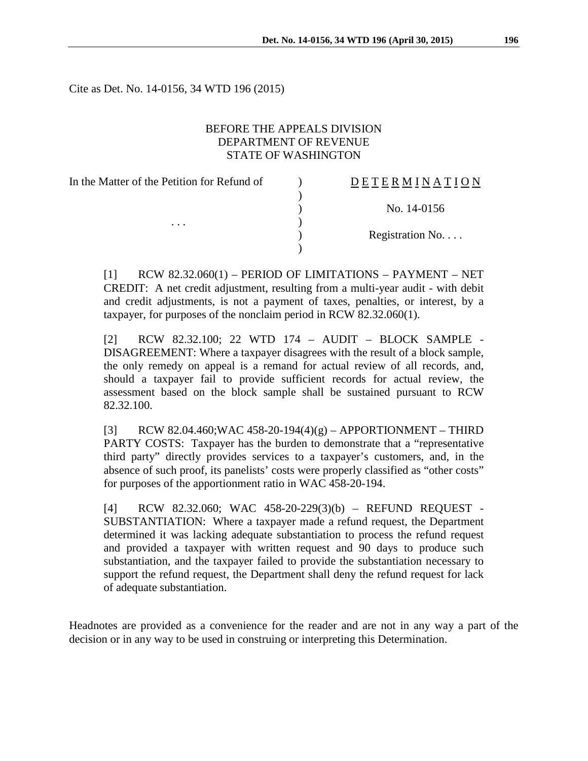Cite as Det. No. 14-0156, 34 WTD 196 (2015)

### BEFORE THE APPEALS DIVISION DEPARTMENT OF REVENUE STATE OF WASHINGTON

| In the Matter of the Petition for Refund of<br>$\cdots$ | <b>DETERMINATION</b> |
|---------------------------------------------------------|----------------------|
|                                                         |                      |
|                                                         | No. 14-0156          |
|                                                         |                      |
|                                                         | Registration No      |
|                                                         |                      |

 $[1]$  RCW 82.32.060(1) – PERIOD OF LIMITATIONS – PAYMENT – NET CREDIT: A net credit adjustment, resulting from a multi-year audit - with debit and credit adjustments, is not a payment of taxes, penalties, or interest, by a taxpayer, for purposes of the nonclaim period in RCW 82.32.060(1).

[2] RCW 82.32.100; 22 WTD 174 – AUDIT – BLOCK SAMPLE - DISAGREEMENT: Where a taxpayer disagrees with the result of a block sample, the only remedy on appeal is a remand for actual review of all records, and, should a taxpayer fail to provide sufficient records for actual review, the assessment based on the block sample shall be sustained pursuant to RCW 82.32.100.

[3] RCW 82.04.460; WAC 458-20-194(4)(g) – APPORTIONMENT – THIRD PARTY COSTS: Taxpayer has the burden to demonstrate that a "representative third party" directly provides services to a taxpayer's customers, and, in the absence of such proof, its panelists' costs were properly classified as "other costs" for purposes of the apportionment ratio in WAC 458-20-194.

[4] RCW 82.32.060; WAC 458-20-229(3)(b) – REFUND REQUEST - SUBSTANTIATION: Where a taxpayer made a refund request, the Department determined it was lacking adequate substantiation to process the refund request and provided a taxpayer with written request and 90 days to produce such substantiation, and the taxpayer failed to provide the substantiation necessary to support the refund request, the Department shall deny the refund request for lack of adequate substantiation.

Headnotes are provided as a convenience for the reader and are not in any way a part of the decision or in any way to be used in construing or interpreting this Determination.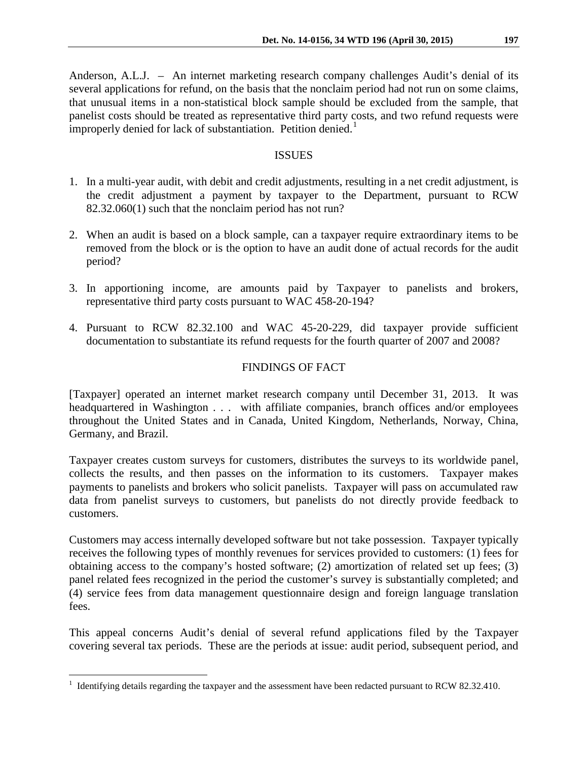Anderson, A.L.J. – An internet marketing research company challenges Audit's denial of its several applications for refund, on the basis that the nonclaim period had not run on some claims, that unusual items in a non-statistical block sample should be excluded from the sample, that panelist costs should be treated as representative third party costs, and two refund requests were improperly denied for lack of substantiation. Petition denied.<sup>[1](#page-1-0)</sup>

#### **ISSUES**

- 1. In a multi-year audit, with debit and credit adjustments, resulting in a net credit adjustment, is the credit adjustment a payment by taxpayer to the Department, pursuant to RCW 82.32.060(1) such that the nonclaim period has not run?
- 2. When an audit is based on a block sample, can a taxpayer require extraordinary items to be removed from the block or is the option to have an audit done of actual records for the audit period?
- 3. In apportioning income, are amounts paid by Taxpayer to panelists and brokers, representative third party costs pursuant to WAC 458-20-194?
- 4. Pursuant to RCW 82.32.100 and WAC 45-20-229, did taxpayer provide sufficient documentation to substantiate its refund requests for the fourth quarter of 2007 and 2008?

# FINDINGS OF FACT

[Taxpayer] operated an internet market research company until December 31, 2013. It was headquartered in Washington . . . with affiliate companies, branch offices and/or employees throughout the United States and in Canada, United Kingdom, Netherlands, Norway, China, Germany, and Brazil.

Taxpayer creates custom surveys for customers, distributes the surveys to its worldwide panel, collects the results, and then passes on the information to its customers. Taxpayer makes payments to panelists and brokers who solicit panelists. Taxpayer will pass on accumulated raw data from panelist surveys to customers, but panelists do not directly provide feedback to customers.

Customers may access internally developed software but not take possession. Taxpayer typically receives the following types of monthly revenues for services provided to customers: (1) fees for obtaining access to the company's hosted software; (2) amortization of related set up fees; (3) panel related fees recognized in the period the customer's survey is substantially completed; and (4) service fees from data management questionnaire design and foreign language translation fees.

This appeal concerns Audit's denial of several refund applications filed by the Taxpayer covering several tax periods. These are the periods at issue: audit period, subsequent period, and

 $\overline{a}$ 

<span id="page-1-0"></span><sup>&</sup>lt;sup>1</sup> Identifying details regarding the taxpayer and the assessment have been redacted pursuant to RCW 82.32.410.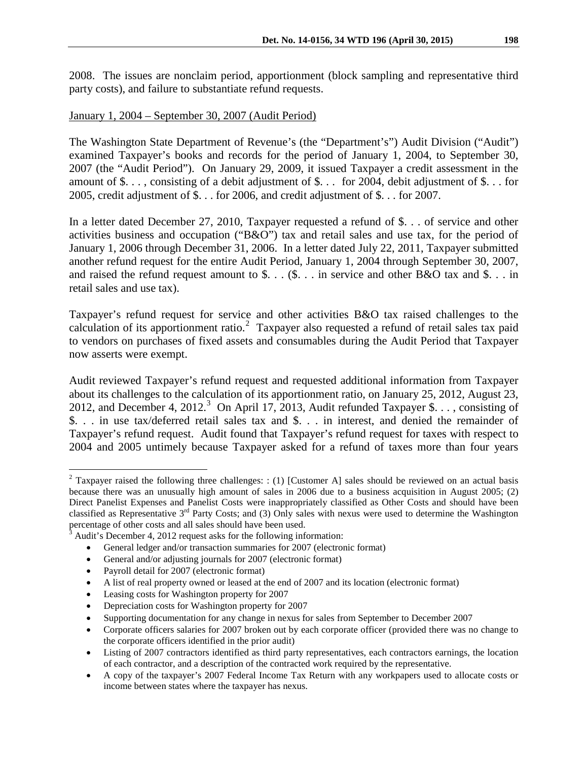2008. The issues are nonclaim period, apportionment (block sampling and representative third party costs), and failure to substantiate refund requests.

### January 1, 2004 – September 30, 2007 (Audit Period)

The Washington State Department of Revenue's (the "Department's") Audit Division ("Audit") examined Taxpayer's books and records for the period of January 1, 2004, to September 30, 2007 (the "Audit Period"). On January 29, 2009, it issued Taxpayer a credit assessment in the amount of \$. . . , consisting of a debit adjustment of \$. . . for 2004, debit adjustment of \$. . . for 2005, credit adjustment of \$. . . for 2006, and credit adjustment of \$. . . for 2007.

In a letter dated December 27, 2010, Taxpayer requested a refund of \$. . . of service and other activities business and occupation ("B&O") tax and retail sales and use tax, for the period of January 1, 2006 through December 31, 2006. In a letter dated July 22, 2011, Taxpayer submitted another refund request for the entire Audit Period, January 1, 2004 through September 30, 2007, and raised the refund request amount to \$. . . (\$. . . in service and other B&O tax and \$. . . in retail sales and use tax).

Taxpayer's refund request for service and other activities B&O tax raised challenges to the calculation of its apportionment ratio.<sup>[2](#page-2-0)</sup> Taxpayer also requested a refund of retail sales tax paid to vendors on purchases of fixed assets and consumables during the Audit Period that Taxpayer now asserts were exempt.

Audit reviewed Taxpayer's refund request and requested additional information from Taxpayer about its challenges to the calculation of its apportionment ratio, on January 25, 2012, August 23, 2012, and December 4, 2012.<sup>[3](#page-2-1)</sup> On April 17, 2013, Audit refunded Taxpayer \$. . . , consisting of \$. . . in use tax/deferred retail sales tax and \$. . . in interest, and denied the remainder of Taxpayer's refund request. Audit found that Taxpayer's refund request for taxes with respect to 2004 and 2005 untimely because Taxpayer asked for a refund of taxes more than four years

<span id="page-2-0"></span><sup>&</sup>lt;sup>2</sup> Taxpayer raised the following three challenges: : (1) [Customer A] sales should be reviewed on an actual basis because there was an unusually high amount of sales in 2006 due to a business acquisition in August 2005; (2) Direct Panelist Expenses and Panelist Costs were inappropriately classified as Other Costs and should have been classified as Representative  $3^{rd}$  Party Costs; and (3) Only sales with nexus were used to determine the Washington percentage of other costs and all sales should have been used.  $\overline{a}$ 

<span id="page-2-1"></span> $3$  Audit's December 4, 2012 request asks for the following information:

<sup>•</sup> General ledger and/or transaction summaries for 2007 (electronic format)

<sup>•</sup> General and/or adjusting journals for 2007 (electronic format)

<sup>•</sup> Payroll detail for 2007 (electronic format)

<sup>•</sup> A list of real property owned or leased at the end of 2007 and its location (electronic format)

<sup>•</sup> Leasing costs for Washington property for 2007

<sup>•</sup> Depreciation costs for Washington property for 2007

<sup>•</sup> Supporting documentation for any change in nexus for sales from September to December 2007

<sup>•</sup> Corporate officers salaries for 2007 broken out by each corporate officer (provided there was no change to the corporate officers identified in the prior audit)

<sup>•</sup> Listing of 2007 contractors identified as third party representatives, each contractors earnings, the location of each contractor, and a description of the contracted work required by the representative.

<sup>•</sup> A copy of the taxpayer's 2007 Federal Income Tax Return with any workpapers used to allocate costs or income between states where the taxpayer has nexus.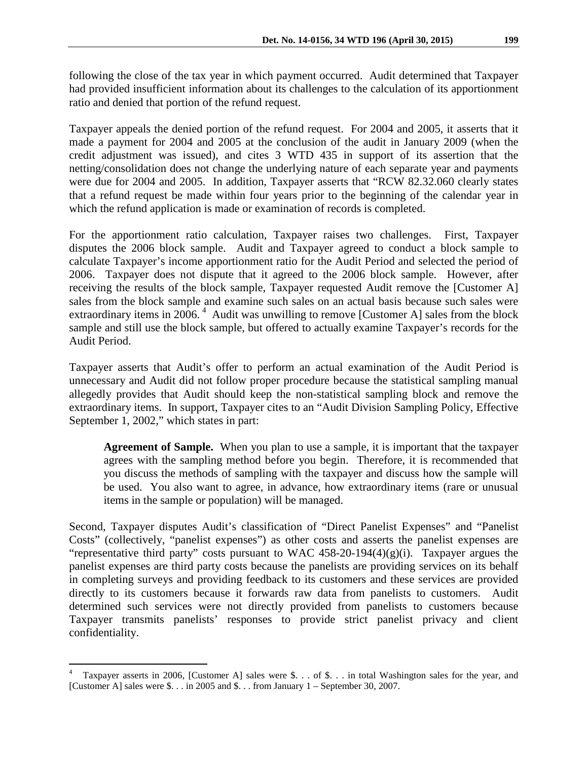following the close of the tax year in which payment occurred. Audit determined that Taxpayer had provided insufficient information about its challenges to the calculation of its apportionment ratio and denied that portion of the refund request.

Taxpayer appeals the denied portion of the refund request. For 2004 and 2005, it asserts that it made a payment for 2004 and 2005 at the conclusion of the audit in January 2009 (when the credit adjustment was issued), and cites 3 WTD 435 in support of its assertion that the netting/consolidation does not change the underlying nature of each separate year and payments were due for 2004 and 2005. In addition, Taxpayer asserts that "RCW 82.32.060 clearly states that a refund request be made within four years prior to the beginning of the calendar year in which the refund application is made or examination of records is completed.

For the apportionment ratio calculation, Taxpayer raises two challenges. First, Taxpayer disputes the 2006 block sample. Audit and Taxpayer agreed to conduct a block sample to calculate Taxpayer's income apportionment ratio for the Audit Period and selected the period of 2006. Taxpayer does not dispute that it agreed to the 2006 block sample. However, after receiving the results of the block sample, Taxpayer requested Audit remove the [Customer A] sales from the block sample and examine such sales on an actual basis because such sales were extraordinary items in 2006.<sup>[4](#page-3-0)</sup> Audit was unwilling to remove [Customer A] sales from the block sample and still use the block sample, but offered to actually examine Taxpayer's records for the Audit Period.

Taxpayer asserts that Audit's offer to perform an actual examination of the Audit Period is unnecessary and Audit did not follow proper procedure because the statistical sampling manual allegedly provides that Audit should keep the non-statistical sampling block and remove the extraordinary items. In support, Taxpayer cites to an "Audit Division Sampling Policy, Effective September 1, 2002," which states in part:

**Agreement of Sample.** When you plan to use a sample, it is important that the taxpayer agrees with the sampling method before you begin. Therefore, it is recommended that you discuss the methods of sampling with the taxpayer and discuss how the sample will be used. You also want to agree, in advance, how extraordinary items (rare or unusual items in the sample or population) will be managed.

Second, Taxpayer disputes Audit's classification of "Direct Panelist Expenses" and "Panelist Costs" (collectively, "panelist expenses") as other costs and asserts the panelist expenses are "representative third party" costs pursuant to WAC 458-20-194(4)(g)(i). Taxpayer argues the panelist expenses are third party costs because the panelists are providing services on its behalf in completing surveys and providing feedback to its customers and these services are provided directly to its customers because it forwards raw data from panelists to customers. Audit determined such services were not directly provided from panelists to customers because Taxpayer transmits panelists' responses to provide strict panelist privacy and client confidentiality.

<span id="page-3-0"></span> $\frac{1}{4}$  Taxpayer asserts in 2006, [Customer A] sales were \$. . . of \$. . . in total Washington sales for the year, and [Customer A] sales were \$. . . in 2005 and \$. . . from January 1 – September 30, 2007.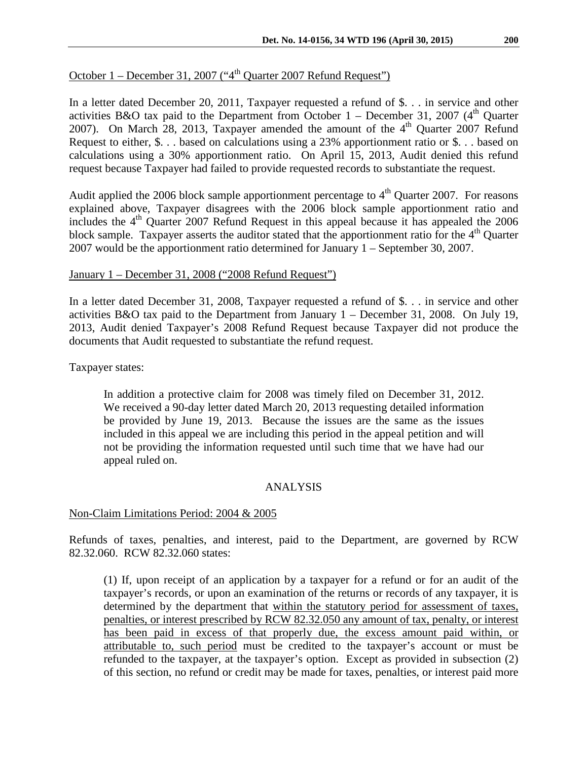# October  $1 -$  December 31, 2007 ("4<sup>th</sup> Quarter 2007 Refund Request")

In a letter dated December 20, 2011, Taxpayer requested a refund of \$. . . in service and other activities B&O tax paid to the Department from October  $1 -$  December 31, 2007 (4<sup>th</sup> Quarter 2007). On March 28, 2013, Taxpayer amended the amount of the  $4<sup>th</sup>$  Quarter 2007 Refund Request to either, \$. . . based on calculations using a 23% apportionment ratio or \$. . . based on calculations using a 30% apportionment ratio. On April 15, 2013, Audit denied this refund request because Taxpayer had failed to provide requested records to substantiate the request.

Audit applied the 2006 block sample apportionment percentage to  $4<sup>th</sup>$  Quarter 2007. For reasons explained above, Taxpayer disagrees with the 2006 block sample apportionment ratio and includes the 4<sup>th</sup> Quarter 2007 Refund Request in this appeal because it has appealed the 2006 block sample. Taxpayer asserts the auditor stated that the apportionment ratio for the  $4<sup>th</sup>$  Quarter 2007 would be the apportionment ratio determined for January 1 – September 30, 2007.

# January 1 – December 31, 2008 ("2008 Refund Request")

In a letter dated December 31, 2008, Taxpayer requested a refund of \$. . . in service and other activities B&O tax paid to the Department from January 1 – December 31, 2008. On July 19, 2013, Audit denied Taxpayer's 2008 Refund Request because Taxpayer did not produce the documents that Audit requested to substantiate the refund request.

Taxpayer states:

In addition a protective claim for 2008 was timely filed on December 31, 2012. We received a 90-day letter dated March 20, 2013 requesting detailed information be provided by June 19, 2013. Because the issues are the same as the issues included in this appeal we are including this period in the appeal petition and will not be providing the information requested until such time that we have had our appeal ruled on.

# ANALYSIS

# Non-Claim Limitations Period: 2004 & 2005

Refunds of taxes, penalties, and interest, paid to the Department, are governed by RCW 82.32.060. RCW 82.32.060 states:

(1) If, upon receipt of an application by a taxpayer for a refund or for an audit of the taxpayer's records, or upon an examination of the returns or records of any taxpayer, it is determined by the department that within the statutory period for assessment of taxes, penalties, or interest prescribed by RCW 82.32.050 any amount of tax, penalty, or interest has been paid in excess of that properly due, the excess amount paid within, or attributable to, such period must be credited to the taxpayer's account or must be refunded to the taxpayer, at the taxpayer's option. Except as provided in subsection (2) of this section, no refund or credit may be made for taxes, penalties, or interest paid more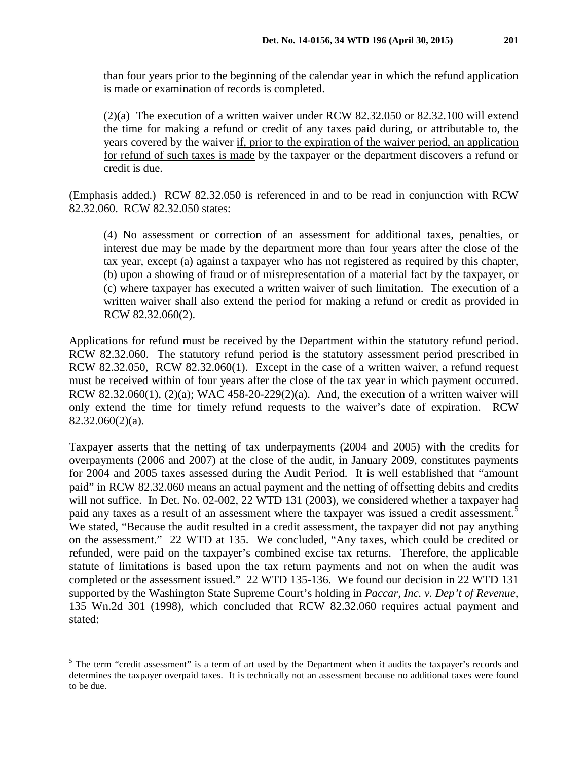than four years prior to the beginning of the calendar year in which the refund application is made or examination of records is completed.

(2)(a) The execution of a written waiver under RCW 82.32.050 or 82.32.100 will extend the time for making a refund or credit of any taxes paid during, or attributable to, the years covered by the waiver if, prior to the expiration of the waiver period, an application for refund of such taxes is made by the taxpayer or the department discovers a refund or credit is due.

(Emphasis added.) RCW 82.32.050 is referenced in and to be read in conjunction with RCW 82.32.060. RCW 82.32.050 states:

(4) No assessment or correction of an assessment for additional taxes, penalties, or interest due may be made by the department more than four years after the close of the tax year, except (a) against a taxpayer who has not registered as required by this chapter, (b) upon a showing of fraud or of misrepresentation of a material fact by the taxpayer, or (c) where taxpayer has executed a written waiver of such limitation. The execution of a written waiver shall also extend the period for making a refund or credit as provided in RCW 82.32.060(2).

Applications for refund must be received by the Department within the statutory refund period. RCW 82.32.060. The statutory refund period is the statutory assessment period prescribed in RCW 82.32.050, RCW 82.32.060(1). Except in the case of a written waiver, a refund request must be received within of four years after the close of the tax year in which payment occurred. RCW 82.32.060(1), (2)(a); WAC 458-20-229(2)(a). And, the execution of a written waiver will only extend the time for timely refund requests to the waiver's date of expiration. RCW 82.32.060(2)(a).

Taxpayer asserts that the netting of tax underpayments (2004 and 2005) with the credits for overpayments (2006 and 2007) at the close of the audit, in January 2009, constitutes payments for 2004 and 2005 taxes assessed during the Audit Period. It is well established that "amount paid" in RCW 82.32.060 means an actual payment and the netting of offsetting debits and credits will not suffice. In Det. No. 02-002, 22 WTD 131 (2003), we considered whether a taxpayer had paid any taxes as a result of an assessment where the taxpayer was issued a credit assessment.<sup>[5](#page-5-0)</sup> We stated, "Because the audit resulted in a credit assessment, the taxpayer did not pay anything on the assessment." 22 WTD at 135. We concluded, "Any taxes, which could be credited or refunded, were paid on the taxpayer's combined excise tax returns. Therefore, the applicable statute of limitations is based upon the tax return payments and not on when the audit was completed or the assessment issued." 22 WTD 135-136. We found our decision in 22 WTD 131 supported by the Washington State Supreme Court's holding in *Paccar, Inc. v. Dep't of Revenue,* 135 Wn.2d 301 (1998), which concluded that RCW 82.32.060 requires actual payment and stated:

 $\overline{a}$ 

<span id="page-5-0"></span><sup>&</sup>lt;sup>5</sup> The term "credit assessment" is a term of art used by the Department when it audits the taxpayer's records and determines the taxpayer overpaid taxes. It is technically not an assessment because no additional taxes were found to be due.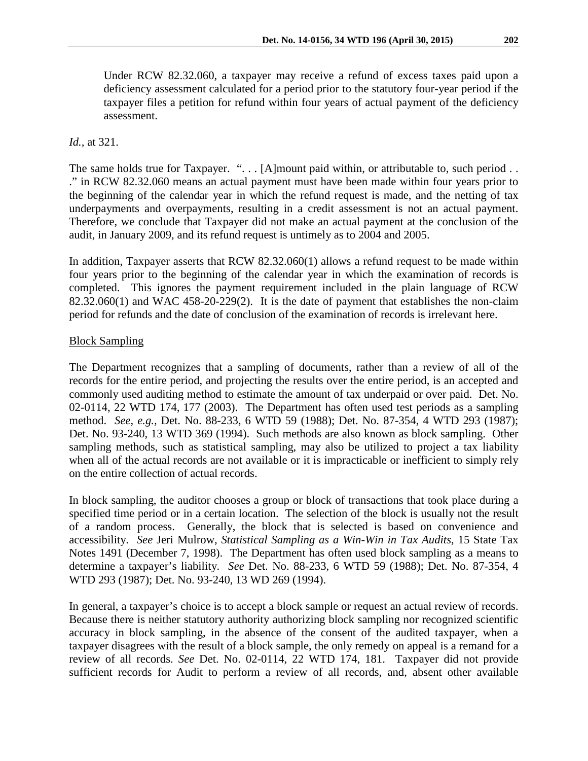Under RCW 82.32.060, a taxpayer may receive a refund of excess taxes paid upon a deficiency assessment calculated for a period prior to the statutory four-year period if the taxpayer files a petition for refund within four years of actual payment of the deficiency assessment.

### *Id.,* at 321.

The same holds true for Taxpayer. ". . . [A]mount paid within, or attributable to, such period . . ." in RCW 82.32.060 means an actual payment must have been made within four years prior to the beginning of the calendar year in which the refund request is made, and the netting of tax underpayments and overpayments, resulting in a credit assessment is not an actual payment. Therefore, we conclude that Taxpayer did not make an actual payment at the conclusion of the audit, in January 2009, and its refund request is untimely as to 2004 and 2005.

In addition, Taxpayer asserts that RCW 82.32.060(1) allows a refund request to be made within four years prior to the beginning of the calendar year in which the examination of records is completed. This ignores the payment requirement included in the plain language of RCW  $82.32.060(1)$  and WAC  $458-20-229(2)$ . It is the date of payment that establishes the non-claim period for refunds and the date of conclusion of the examination of records is irrelevant here.

### Block Sampling

The Department recognizes that a sampling of documents, rather than a review of all of the records for the entire period, and projecting the results over the entire period, is an accepted and commonly used auditing method to estimate the amount of tax underpaid or over paid. Det. No. 02-0114, 22 WTD 174, 177 (2003). The Department has often used test periods as a sampling method. *See, e.g.,* Det. No. 88-233, 6 WTD 59 (1988); Det. No. 87-354, 4 WTD 293 (1987); Det. No. 93-240, 13 WTD 369 (1994). Such methods are also known as block sampling. Other sampling methods, such as statistical sampling, may also be utilized to project a tax liability when all of the actual records are not available or it is impracticable or inefficient to simply rely on the entire collection of actual records.

In block sampling, the auditor chooses a group or block of transactions that took place during a specified time period or in a certain location. The selection of the block is usually not the result of a random process. Generally, the block that is selected is based on convenience and accessibility. *See* Jeri Mulrow, *Statistical Sampling as a Win-Win in Tax Audits*, 15 State Tax Notes 1491 (December 7, 1998). The Department has often used block sampling as a means to determine a taxpayer's liability. *See* Det. No. 88-233, 6 WTD 59 (1988); Det. No. 87-354, 4 WTD 293 (1987); Det. No. 93-240, 13 WD 269 (1994).

In general, a taxpayer's choice is to accept a block sample or request an actual review of records. Because there is neither statutory authority authorizing block sampling nor recognized scientific accuracy in block sampling, in the absence of the consent of the audited taxpayer, when a taxpayer disagrees with the result of a block sample, the only remedy on appeal is a remand for a review of all records. *See* Det. No. 02-0114, 22 WTD 174, 181. Taxpayer did not provide sufficient records for Audit to perform a review of all records, and, absent other available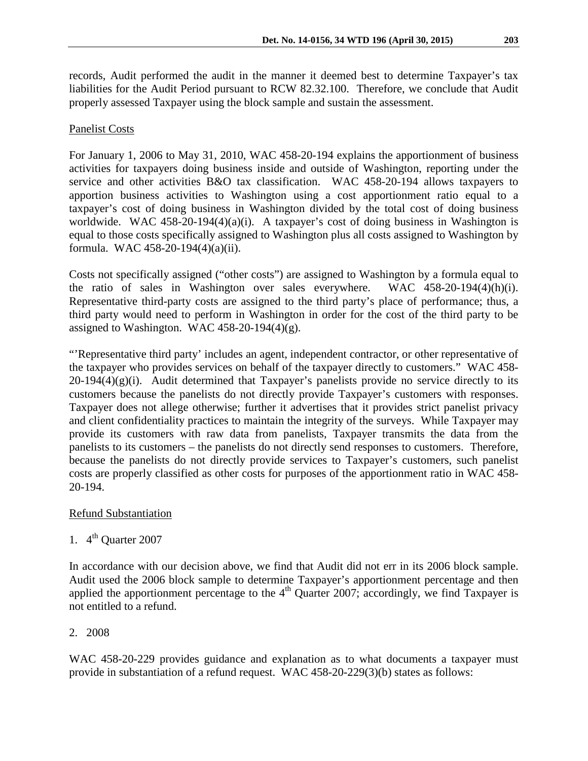records, Audit performed the audit in the manner it deemed best to determine Taxpayer's tax liabilities for the Audit Period pursuant to RCW 82.32.100. Therefore, we conclude that Audit properly assessed Taxpayer using the block sample and sustain the assessment.

#### Panelist Costs

For January 1, 2006 to May 31, 2010, WAC 458-20-194 explains the apportionment of business activities for taxpayers doing business inside and outside of Washington, reporting under the service and other activities B&O tax classification. WAC 458-20-194 allows taxpayers to apportion business activities to Washington using a cost apportionment ratio equal to a taxpayer's cost of doing business in Washington divided by the total cost of doing business worldwide. WAC 458-20-194(4)(a)(i). A taxpayer's cost of doing business in Washington is equal to those costs specifically assigned to Washington plus all costs assigned to Washington by formula. WAC 458-20-194(4)(a)(ii).

Costs not specifically assigned ("other costs") are assigned to Washington by a formula equal to the ratio of sales in Washington over sales everywhere. WAC 458-20-194(4)(h)(i). Representative third-party costs are assigned to the third party's place of performance; thus, a third party would need to perform in Washington in order for the cost of the third party to be assigned to Washington. WAC 458-20-194(4)(g).

"'Representative third party' includes an agent, independent contractor, or other representative of the taxpayer who provides services on behalf of the taxpayer directly to customers." WAC 458-  $20-194(4)(g)(i)$ . Audit determined that Taxpayer's panelists provide no service directly to its customers because the panelists do not directly provide Taxpayer's customers with responses. Taxpayer does not allege otherwise; further it advertises that it provides strict panelist privacy and client confidentiality practices to maintain the integrity of the surveys. While Taxpayer may provide its customers with raw data from panelists, Taxpayer transmits the data from the panelists to its customers – the panelists do not directly send responses to customers. Therefore, because the panelists do not directly provide services to Taxpayer's customers, such panelist costs are properly classified as other costs for purposes of the apportionment ratio in WAC 458- 20-194.

#### Refund Substantiation

1.  $4^{\text{th}}$  Ouarter 2007

In accordance with our decision above, we find that Audit did not err in its 2006 block sample. Audit used the 2006 block sample to determine Taxpayer's apportionment percentage and then applied the apportionment percentage to the  $4<sup>th</sup>$  Quarter 2007; accordingly, we find Taxpayer is not entitled to a refund.

#### 2. 2008

WAC 458-20-229 provides guidance and explanation as to what documents a taxpayer must provide in substantiation of a refund request. WAC 458-20-229(3)(b) states as follows: